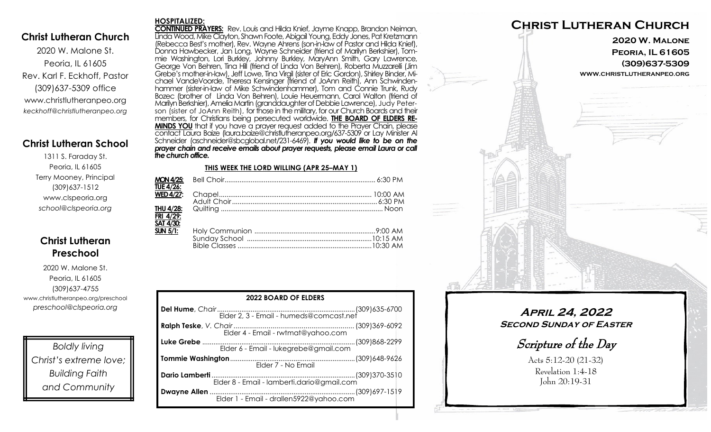### **Christ Lutheran Church**

2020 W. Malone St. Peoria, IL 61605 Rev. Karl F. Eckhoff, Pastor (309)637-5309 office www.christlutheranpeo.org *keckhoff@christlutheranpeo.org*

### **Christ Lutheran School**

1311 S. Faraday St. Peoria, IL 61605 Terry Mooney, Principal (309)637-1512 www.clspeoria.org *school@clspeoria.org*

# **Christ Lutheran Preschool**

2020 W. Malone St. Peoria, IL 61605 (309)637-4755 www.christlutheranpeo.org/preschool *preschool@clspeoria.org*

*Boldly living Christ's extreme love; Building Faith and Community*

#### **HOSPITALIZED:**

**CONTINUED PRAYERS:** Rev. Louis and Hilda Knief, Jayme Knapp, Brandon Neiman, Linda Wood, Mike Clayton, Shawn Foote, Abigail Young, Eddy Jones, Pat Kretzmann (Rebecca Best's mother), Rev. Wayne Ahrens (son-in-law of Pastor and Hilda Knief), Donna Hawbecker, Jan Long, Wayne Schneider (friend of Marilyn Berkshier), Tommie Washington, Lori Burkley, Johnny Burkley, MaryAnn Smith, Gary Lawrence, George Von Behren, Tina Hill (friend of Linda Von Behren), Roberta Muzzarelli (Jim Grebe's mother-in-law), Jeff Lowe, Tina Virgil (sister of Eric Gordon), Shirley Binder, Michael VandeVoorde, Theresa Kensinger (friend of JoAnn Reith), Ann Schwindenhammer (sister-in-law of Mike Schwindenhammer), Tom and Connie Trunk, Rudy Bozec (brother of Linda Von Behren), Louie Heuermann, Carol Walton (friend of Marilyn Berkshier), AmeliaMartin (granddaughter of Debbie Lawrence), Judy Peterson (sister of JoAnn Reith), for those in the military, for our Church Boards and their members, for Christians being persecuted worldwide. **THE BOARD OF ELDERS RE-MINDS YOU** that if you have a prayer request added to the Prayer Chain, please contact Laura Baize (laura.baize@christlutheranpeo.org/637-5309 or Lay Minister Al Schneider (aschneider@sbcglobal.net/231-6469). *If you would like to be on the prayer chain and receive emails about prayer requests, please email Laura or call the church office.*

#### **THIS WEEK THE LORD WILLING (APR 25–MAY 1)**

| <b>TUE 4/26:</b> |  |
|------------------|--|
| <b>WED 4/27:</b> |  |
|                  |  |
| THU 4/28:        |  |
| FRI 4/29:        |  |
| SAT 4/30:        |  |
| $SUN 5/1$ :      |  |
|                  |  |
|                  |  |

| <b>2022 BOARD OF ELDERS</b> |  |  |  |
|-----------------------------|--|--|--|
|                             |  |  |  |
|                             |  |  |  |
|                             |  |  |  |
| Elder 7 - No Email          |  |  |  |
|                             |  |  |  |
|                             |  |  |  |



# **April 24, 2022 Second Sunday of Easter**

Scripture of the Day

Acts 5:12-20 (21-32) Revelation 1:4-18 John 20:19-31